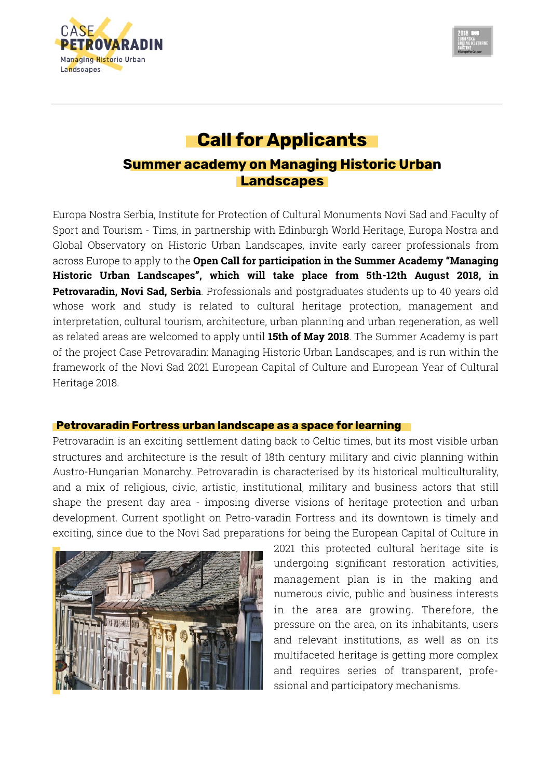



# **Call for Applicants**

# **Summer academy on Managing Historic Urban Landscapes**

Europa Nostra Serbia, Institute for Protection of Cultural Monuments Novi Sad and Faculty of Sport and Tourism - Tims, in partnership with Edinburgh World Heritage, Europa Nostra and Global Observatory on Historic Urban Landscapes, invite early career professionals from across Europe to apply to the **Open Call for participation in the Summer Academy "Managing Historic Urban Landscapes", which will take place from 5th-12th August 2018, in Petrovaradin, Novi Sad, Serbia**. Professionals and postgraduates students up to 40 years old whose work and study is related to cultural heritage protection, management and interpretation, cultural tourism, architecture, urban planning and urban regeneration, as well as related areas are welcomed to apply until **15th of May 2018**. The Summer Academy is part of the project Case Petrovaradin: Managing Historic Urban Landscapes, and is run within the framework of the Novi Sad 2021 European Capital of Culture and European Year of Cultural Heritage 2018.

# **Petrovaradin Fortress urban landscape as a space for learning**

Petrovaradin is an exciting settlement dating back to Celtic times, but its most visible urban structures and architecture is the result of 18th century military and civic planning within Austro-Hungarian Monarchy. Petrovaradin is characterised by its historical multiculturality, and a mix of religious, civic, artistic, institutional, military and business actors that still shape the present day area - imposing diverse visions of heritage protection and urban development. Current spotlight on Petro-varadin Fortress and its downtown is timely and exciting, since due to the Novi Sad preparations for being the European Capital of Culture in



2021 this protected cultural heritage site is undergoing significant restoration activities, management plan is in the making and numerous civic, public and business interests in the area are growing. Therefore, the pressure on the area, on its inhabitants, users and relevant institutions, as well as on its multifaceted heritage is getting more complex and requires series of transparent, professional and participatory mechanisms.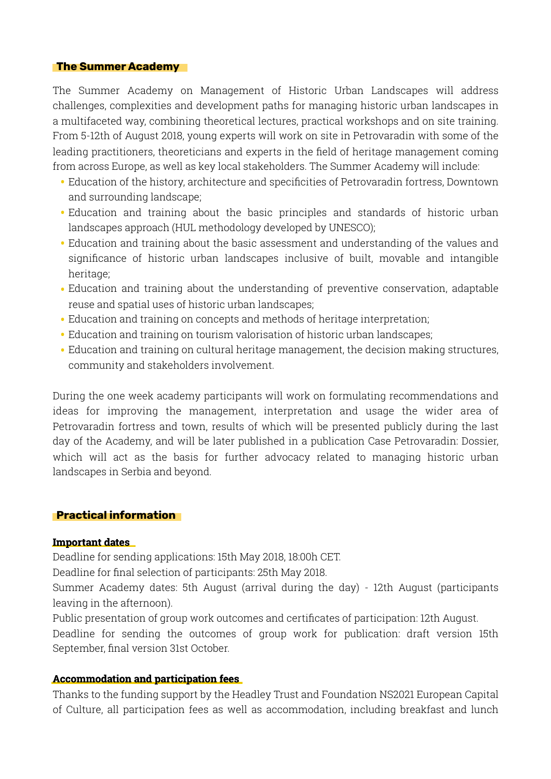#### **The Summer Academy**

The Summer Academy on Management of Historic Urban Landscapes will address challenges, complexities and development paths for managing historic urban landscapes in a multifaceted way, combining theoretical lectures, practical workshops and on site training. From 5-12th of August 2018, young experts will work on site in Petrovaradin with some of the leading practitioners, theoreticians and experts in the field of heritage management coming from across Europe, as well as key local stakeholders. The Summer Academy will include:

- Education of the history, architecture and specificities of Petrovaradin fortress, Downtown and surrounding landscape;
- Education and training about the basic principles and standards of historic urban landscapes approach (HUL methodology developed by UNESCO);
- Education and training about the basic assessment and understanding of the values and significance of historic urban landscapes inclusive of built, movable and intangible heritage;
- Education and training about the understanding of preventive conservation, adaptable reuse and spatial uses of historic urban landscapes;
- Education and training on concepts and methods of heritage interpretation;
- Education and training on tourism valorisation of historic urban landscapes;
- Education and training on cultural heritage management, the decision making structures, community and stakeholders involvement.

During the one week academy participants will work on formulating recommendations and ideas for improving the management, interpretation and usage the wider area of Petrovaradin fortress and town, results of which will be presented publicly during the last day of the Academy, and will be later published in a publication Case Petrovaradin: Dossier, which will act as the basis for further advocacy related to managing historic urban landscapes in Serbia and beyond.

# **Practical information**

#### **Important dates dates**

Deadline for sending applications: 15th May 2018, 18:00h CET.

Deadline for final selection of participants: 25th May 2018.

Summer Academy dates: 5th August (arrival during the day) - 12th August (participants leaving in the afternoon).

Public presentation of group work outcomes and certificates of participation: 12th August.

Deadline for sending the outcomes of group work for publication: draft version 15th September, final version 31st October.

#### **Accommodation and participation fees fees**

Thanks to the funding support by the Headley Trust and Foundation NS2021 European Capital of Culture, all participation fees as well as accommodation, including breakfast and lunch